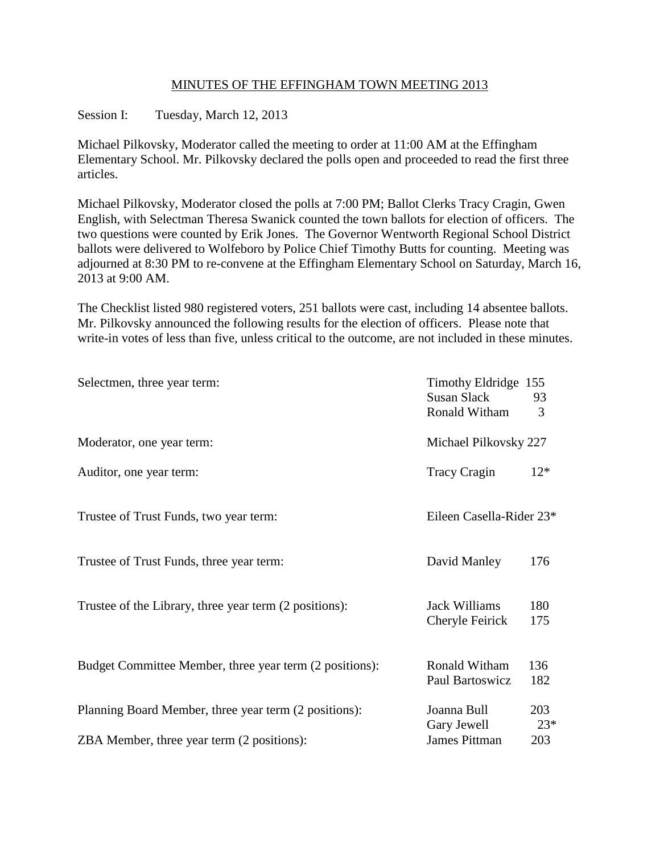## MINUTES OF THE EFFINGHAM TOWN MEETING 2013

Session I: Tuesday, March 12, 2013

Michael Pilkovsky, Moderator called the meeting to order at 11:00 AM at the Effingham Elementary School. Mr. Pilkovsky declared the polls open and proceeded to read the first three articles.

Michael Pilkovsky, Moderator closed the polls at 7:00 PM; Ballot Clerks Tracy Cragin, Gwen English, with Selectman Theresa Swanick counted the town ballots for election of officers. The two questions were counted by Erik Jones. The Governor Wentworth Regional School District ballots were delivered to Wolfeboro by Police Chief Timothy Butts for counting. Meeting was adjourned at 8:30 PM to re-convene at the Effingham Elementary School on Saturday, March 16, 2013 at 9:00 AM.

The Checklist listed 980 registered voters, 251 ballots were cast, including 14 absentee ballots. Mr. Pilkovsky announced the following results for the election of officers. Please note that write-in votes of less than five, unless critical to the outcome, are not included in these minutes.

| Selectmen, three year term:                             | Timothy Eldridge 155<br>Susan Slack<br>Ronald Witham | 93<br>3      |
|---------------------------------------------------------|------------------------------------------------------|--------------|
| Moderator, one year term:                               | Michael Pilkovsky 227                                |              |
| Auditor, one year term:                                 | <b>Tracy Cragin</b>                                  | $12*$        |
| Trustee of Trust Funds, two year term:                  | Eileen Casella-Rider 23*                             |              |
| Trustee of Trust Funds, three year term:                | David Manley                                         | 176          |
| Trustee of the Library, three year term (2 positions):  | <b>Jack Williams</b><br>Cheryle Feirick              | 180<br>175   |
| Budget Committee Member, three year term (2 positions): | Ronald Witham<br>Paul Bartoswicz                     | 136<br>182   |
| Planning Board Member, three year term (2 positions):   | Joanna Bull<br>Gary Jewell                           | 203<br>$23*$ |
| ZBA Member, three year term (2 positions):              | <b>James Pittman</b>                                 | 203          |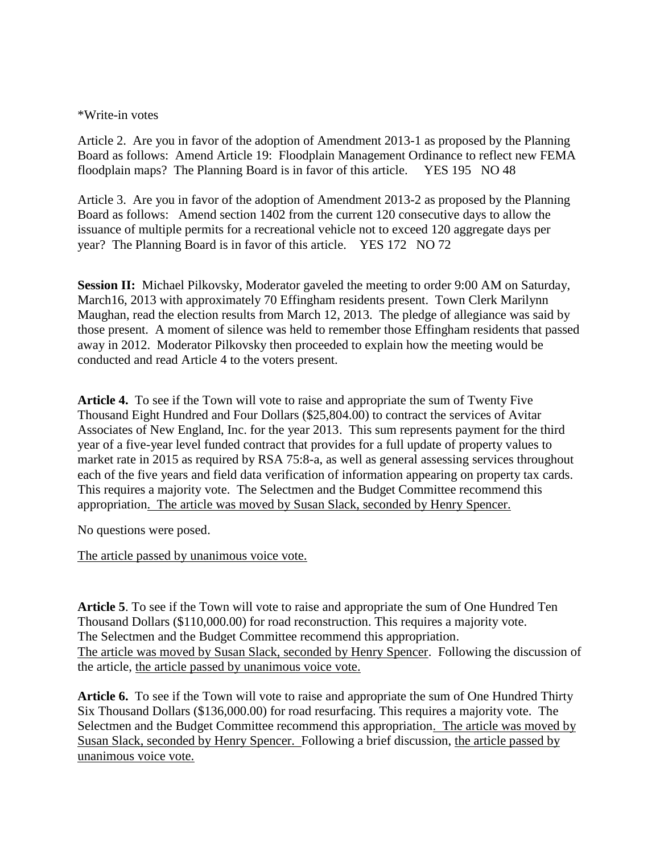### \*Write-in votes

Article 2. Are you in favor of the adoption of Amendment 2013-1 as proposed by the Planning Board as follows: Amend Article 19: Floodplain Management Ordinance to reflect new FEMA floodplain maps? The Planning Board is in favor of this article. YES 195 NO 48

Article 3. Are you in favor of the adoption of Amendment 2013-2 as proposed by the Planning Board as follows: Amend section 1402 from the current 120 consecutive days to allow the issuance of multiple permits for a recreational vehicle not to exceed 120 aggregate days per year? The Planning Board is in favor of this article. YES 172 NO 72

**Session II:** Michael Pilkovsky, Moderator gaveled the meeting to order 9:00 AM on Saturday, March16, 2013 with approximately 70 Effingham residents present. Town Clerk Marilynn Maughan, read the election results from March 12, 2013. The pledge of allegiance was said by those present. A moment of silence was held to remember those Effingham residents that passed away in 2012. Moderator Pilkovsky then proceeded to explain how the meeting would be conducted and read Article 4 to the voters present.

**Article 4.** To see if the Town will vote to raise and appropriate the sum of Twenty Five Thousand Eight Hundred and Four Dollars (\$25,804.00) to contract the services of Avitar Associates of New England, Inc. for the year 2013. This sum represents payment for the third year of a five-year level funded contract that provides for a full update of property values to market rate in 2015 as required by RSA 75:8-a, as well as general assessing services throughout each of the five years and field data verification of information appearing on property tax cards. This requires a majority vote. The Selectmen and the Budget Committee recommend this appropriation. The article was moved by Susan Slack, seconded by Henry Spencer.

No questions were posed.

The article passed by unanimous voice vote.

**Article 5**. To see if the Town will vote to raise and appropriate the sum of One Hundred Ten Thousand Dollars (\$110,000.00) for road reconstruction. This requires a majority vote. The Selectmen and the Budget Committee recommend this appropriation. The article was moved by Susan Slack, seconded by Henry Spencer. Following the discussion of the article, the article passed by unanimous voice vote.

**Article 6.** To see if the Town will vote to raise and appropriate the sum of One Hundred Thirty Six Thousand Dollars (\$136,000.00) for road resurfacing. This requires a majority vote. The Selectmen and the Budget Committee recommend this appropriation. The article was moved by Susan Slack, seconded by Henry Spencer. Following a brief discussion, the article passed by unanimous voice vote.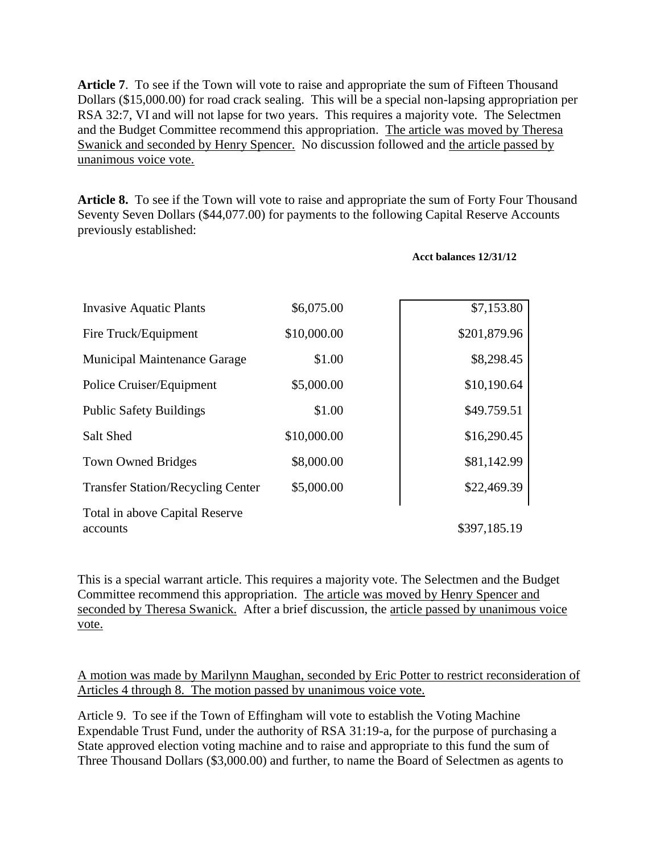**Article 7**. To see if the Town will vote to raise and appropriate the sum of Fifteen Thousand Dollars (\$15,000.00) for road crack sealing. This will be a special non-lapsing appropriation per RSA 32:7, VI and will not lapse for two years. This requires a majority vote. The Selectmen and the Budget Committee recommend this appropriation. The article was moved by Theresa Swanick and seconded by Henry Spencer. No discussion followed and the article passed by unanimous voice vote.

**Article 8.** To see if the Town will vote to raise and appropriate the sum of Forty Four Thousand Seventy Seven Dollars (\$44,077.00) for payments to the following Capital Reserve Accounts previously established:

| Acct balances 12/31/12 |  |
|------------------------|--|
|                        |  |

| <b>Invasive Aquatic Plants</b>           | \$6,075.00  | \$7,153.80   |
|------------------------------------------|-------------|--------------|
| Fire Truck/Equipment                     | \$10,000.00 | \$201,879.96 |
| <b>Municipal Maintenance Garage</b>      | \$1.00      | \$8,298.45   |
| Police Cruiser/Equipment                 | \$5,000.00  | \$10,190.64  |
| <b>Public Safety Buildings</b>           | \$1.00      | \$49.759.51  |
| Salt Shed                                | \$10,000.00 | \$16,290.45  |
| <b>Town Owned Bridges</b>                | \$8,000.00  | \$81,142.99  |
| <b>Transfer Station/Recycling Center</b> | \$5,000.00  | \$22,469.39  |
| Total in above Capital Reserve           |             | \$397,185.19 |
| accounts                                 |             |              |

This is a special warrant article. This requires a majority vote. The Selectmen and the Budget Committee recommend this appropriation. The article was moved by Henry Spencer and seconded by Theresa Swanick. After a brief discussion, the article passed by unanimous voice vote.

A motion was made by Marilynn Maughan, seconded by Eric Potter to restrict reconsideration of Articles 4 through 8. The motion passed by unanimous voice vote.

Article 9. To see if the Town of Effingham will vote to establish the Voting Machine Expendable Trust Fund, under the authority of RSA 31:19-a, for the purpose of purchasing a State approved election voting machine and to raise and appropriate to this fund the sum of Three Thousand Dollars (\$3,000.00) and further, to name the Board of Selectmen as agents to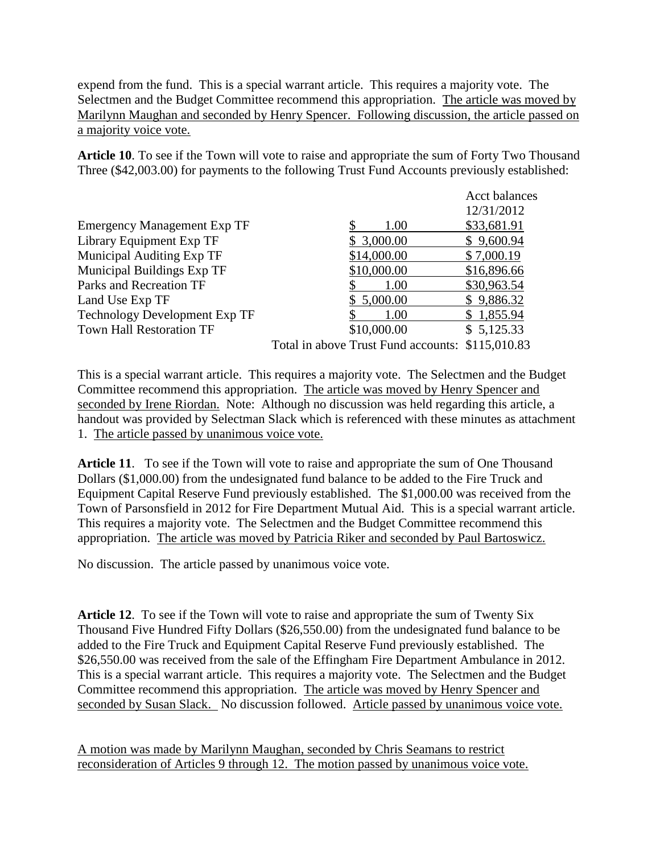expend from the fund. This is a special warrant article. This requires a majority vote. The Selectmen and the Budget Committee recommend this appropriation. The article was moved by Marilynn Maughan and seconded by Henry Spencer. Following discussion, the article passed on a majority voice vote.

**Article 10**. To see if the Town will vote to raise and appropriate the sum of Forty Two Thousand Three (\$42,003.00) for payments to the following Trust Fund Accounts previously established:

|                                      |  |                                                  | <b>Acct balances</b> |
|--------------------------------------|--|--------------------------------------------------|----------------------|
|                                      |  |                                                  | 12/31/2012           |
| <b>Emergency Management Exp TF</b>   |  | 1.00                                             | \$33,681.91          |
| Library Equipment Exp TF             |  | \$3,000.00                                       | \$9,600.94           |
| <b>Municipal Auditing Exp TF</b>     |  | \$14,000.00                                      | \$7,000.19           |
| <b>Municipal Buildings Exp TF</b>    |  | \$10,000.00                                      | \$16,896.66          |
| Parks and Recreation TF              |  | 1.00                                             | \$30,963.54          |
| Land Use Exp TF                      |  | \$5,000.00                                       | \$9,886.32           |
| <b>Technology Development Exp TF</b> |  | 1.00                                             | \$1,855.94           |
| <b>Town Hall Restoration TF</b>      |  | \$10,000.00                                      | \$5,125.33           |
|                                      |  | Total in above Trust Fund accounts: \$115,010.83 |                      |

This is a special warrant article. This requires a majority vote. The Selectmen and the Budget Committee recommend this appropriation. The article was moved by Henry Spencer and seconded by Irene Riordan. Note: Although no discussion was held regarding this article, a handout was provided by Selectman Slack which is referenced with these minutes as attachment 1. The article passed by unanimous voice vote.

**Article 11**. To see if the Town will vote to raise and appropriate the sum of One Thousand Dollars (\$1,000.00) from the undesignated fund balance to be added to the Fire Truck and Equipment Capital Reserve Fund previously established. The \$1,000.00 was received from the Town of Parsonsfield in 2012 for Fire Department Mutual Aid. This is a special warrant article. This requires a majority vote. The Selectmen and the Budget Committee recommend this appropriation. The article was moved by Patricia Riker and seconded by Paul Bartoswicz.

No discussion. The article passed by unanimous voice vote.

**Article 12**. To see if the Town will vote to raise and appropriate the sum of Twenty Six Thousand Five Hundred Fifty Dollars (\$26,550.00) from the undesignated fund balance to be added to the Fire Truck and Equipment Capital Reserve Fund previously established. The \$26,550.00 was received from the sale of the Effingham Fire Department Ambulance in 2012. This is a special warrant article. This requires a majority vote. The Selectmen and the Budget Committee recommend this appropriation. The article was moved by Henry Spencer and seconded by Susan Slack. No discussion followed. Article passed by unanimous voice vote.

A motion was made by Marilynn Maughan, seconded by Chris Seamans to restrict reconsideration of Articles 9 through 12. The motion passed by unanimous voice vote.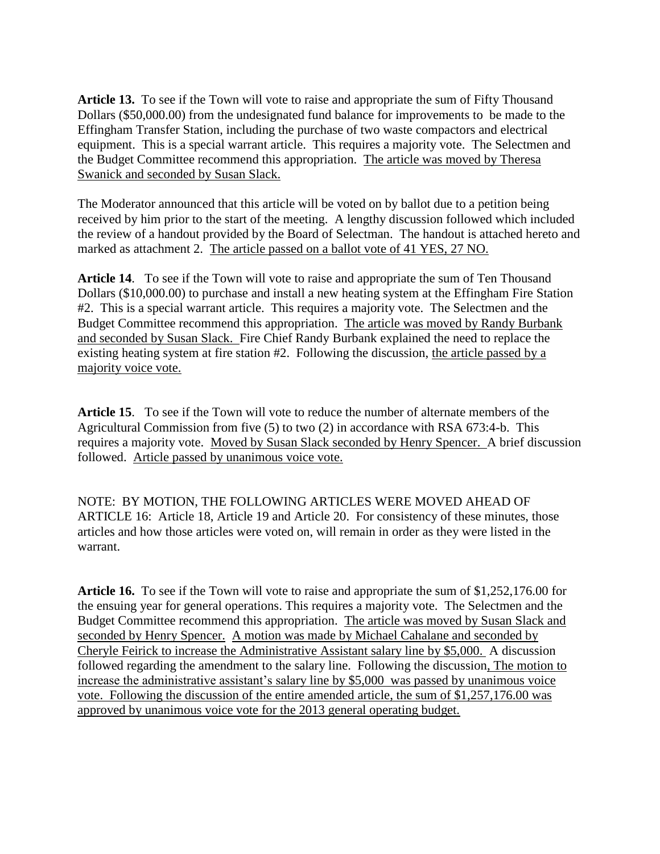**Article 13.** To see if the Town will vote to raise and appropriate the sum of Fifty Thousand Dollars (\$50,000.00) from the undesignated fund balance for improvements to be made to the Effingham Transfer Station, including the purchase of two waste compactors and electrical equipment. This is a special warrant article. This requires a majority vote. The Selectmen and the Budget Committee recommend this appropriation. The article was moved by Theresa Swanick and seconded by Susan Slack.

The Moderator announced that this article will be voted on by ballot due to a petition being received by him prior to the start of the meeting. A lengthy discussion followed which included the review of a handout provided by the Board of Selectman. The handout is attached hereto and marked as attachment 2. The article passed on a ballot vote of 41 YES, 27 NO.

**Article 14**. To see if the Town will vote to raise and appropriate the sum of Ten Thousand Dollars (\$10,000.00) to purchase and install a new heating system at the Effingham Fire Station #2. This is a special warrant article. This requires a majority vote. The Selectmen and the Budget Committee recommend this appropriation. The article was moved by Randy Burbank and seconded by Susan Slack. Fire Chief Randy Burbank explained the need to replace the existing heating system at fire station #2. Following the discussion, the article passed by a majority voice vote.

**Article 15**. To see if the Town will vote to reduce the number of alternate members of the Agricultural Commission from five (5) to two (2) in accordance with RSA 673:4-b. This requires a majority vote. Moved by Susan Slack seconded by Henry Spencer. A brief discussion followed. Article passed by unanimous voice vote.

NOTE: BY MOTION, THE FOLLOWING ARTICLES WERE MOVED AHEAD OF ARTICLE 16: Article 18, Article 19 and Article 20. For consistency of these minutes, those articles and how those articles were voted on, will remain in order as they were listed in the warrant.

**Article 16.** To see if the Town will vote to raise and appropriate the sum of \$1,252,176.00 for the ensuing year for general operations. This requires a majority vote. The Selectmen and the Budget Committee recommend this appropriation. The article was moved by Susan Slack and seconded by Henry Spencer. A motion was made by Michael Cahalane and seconded by Cheryle Feirick to increase the Administrative Assistant salary line by \$5,000. A discussion followed regarding the amendment to the salary line. Following the discussion, The motion to increase the administrative assistant's salary line by \$5,000 was passed by unanimous voice vote. Following the discussion of the entire amended article, the sum of \$1,257,176.00 was approved by unanimous voice vote for the 2013 general operating budget.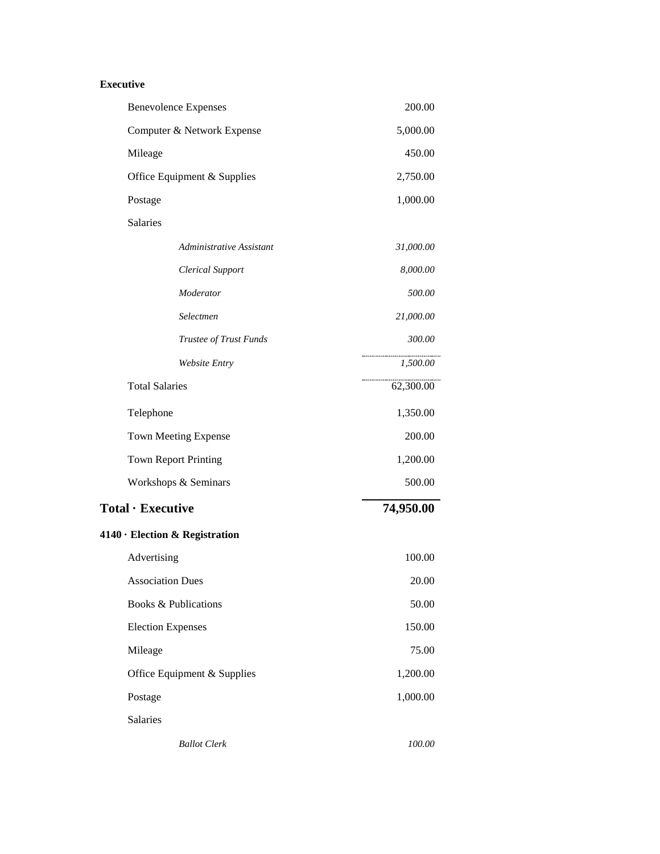### **Executive**

| <b>Benevolence Expenses</b>    | 200.00    |
|--------------------------------|-----------|
| Computer & Network Expense     | 5,000.00  |
| Mileage                        | 450.00    |
| Office Equipment & Supplies    | 2,750.00  |
| Postage                        | 1,000.00  |
| Salaries                       |           |
| Administrative Assistant       | 31,000.00 |
| <b>Clerical Support</b>        | 8,000.00  |
| Moderator                      | 500.00    |
| Selectmen                      | 21,000.00 |
| Trustee of Trust Funds         | 300.00    |
| Website Entry                  | 1,500.00  |
| <b>Total Salaries</b>          | 62,300.00 |
| Telephone                      | 1,350.00  |
| <b>Town Meeting Expense</b>    | 200.00    |
| <b>Town Report Printing</b>    | 1,200.00  |
| Workshops & Seminars           | 500.00    |
| Total · Executive              | 74,950.00 |
| 4140 · Election & Registration |           |
| Advertising                    | 100.00    |
| <b>Association Dues</b>        | 20.00     |
| Books & Publications           | 50.00     |
| <b>Election Expenses</b>       | 150.00    |
| Mileage                        | 75.00     |
| Office Equipment & Supplies    | 1,200.00  |
| Postage                        | 1,000.00  |
| Salaries                       |           |
| <b>Ballot</b> Clerk            | 100.00    |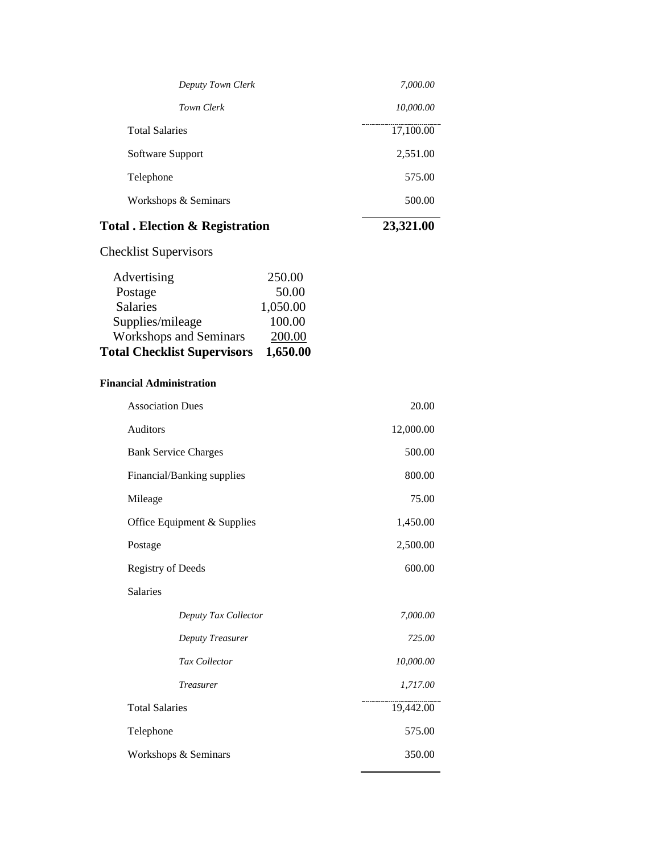| <b>Total . Election &amp; Registration</b> | 23,321.00 |
|--------------------------------------------|-----------|
| Workshops & Seminars                       | 500.00    |
| Telephone                                  | 575.00    |
| Software Support                           | 2,551.00  |
| <b>Total Salaries</b>                      | 17,100.00 |
| Town Clerk                                 | 10,000.00 |
| Deputy Town Clerk                          | 7,000.00  |

Checklist Supervisors

| <b>Total Checklist Supervisors</b> | 1,650.00 |
|------------------------------------|----------|
| <b>Workshops and Seminars</b>      | 200.00   |
| Supplies/mileage                   | 100.00   |
| <b>Salaries</b>                    | 1,050.00 |
| Postage                            | 50.00    |
| Advertising                        | 250.00   |

### **Financial Administration**

| 20.00     |
|-----------|
| 12,000.00 |
| 500.00    |
| 800.00    |
| 75.00     |
| 1,450.00  |
| 2,500.00  |
| 600.00    |
|           |
| 7,000.00  |
| 725.00    |
| 10,000.00 |
| 1,717.00  |
| 19,442.00 |
| 575.00    |
| 350.00    |
|           |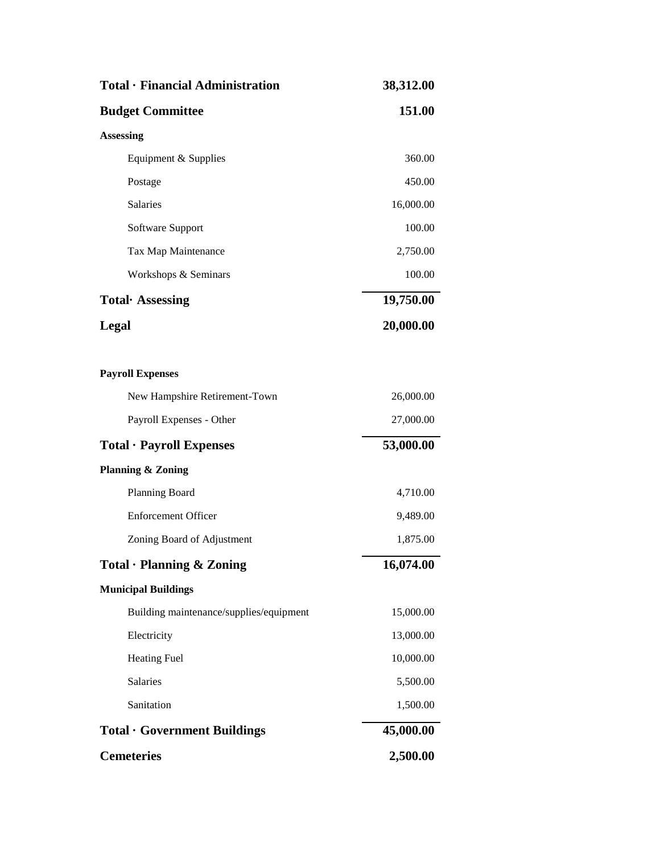| Total · Financial Administration        | 38,312.00 |
|-----------------------------------------|-----------|
| <b>Budget Committee</b>                 | 151.00    |
| <b>Assessing</b>                        |           |
| Equipment & Supplies                    | 360.00    |
| Postage                                 | 450.00    |
| Salaries                                | 16,000.00 |
| Software Support                        | 100.00    |
| Tax Map Maintenance                     | 2,750.00  |
| Workshops & Seminars                    | 100.00    |
| Total Assessing                         | 19,750.00 |
| Legal                                   | 20,000.00 |
|                                         |           |
| <b>Payroll Expenses</b>                 |           |
| New Hampshire Retirement-Town           | 26,000.00 |
| Payroll Expenses - Other                | 27,000.00 |
| Total · Payroll Expenses                | 53,000.00 |
| <b>Planning &amp; Zoning</b>            |           |
| Planning Board                          | 4,710.00  |
| <b>Enforcement Officer</b>              | 9,489.00  |
| Zoning Board of Adjustment              | 1,875.00  |
| Total · Planning & Zoning               | 16,074.00 |
| <b>Municipal Buildings</b>              |           |
| Building maintenance/supplies/equipment | 15,000.00 |
| Electricity                             | 13,000.00 |
| <b>Heating Fuel</b>                     | 10,000.00 |
| <b>Salaries</b>                         | 5,500.00  |
| Sanitation                              | 1,500.00  |
| <b>Total · Government Buildings</b>     | 45,000.00 |
| <b>Cemeteries</b>                       | 2,500.00  |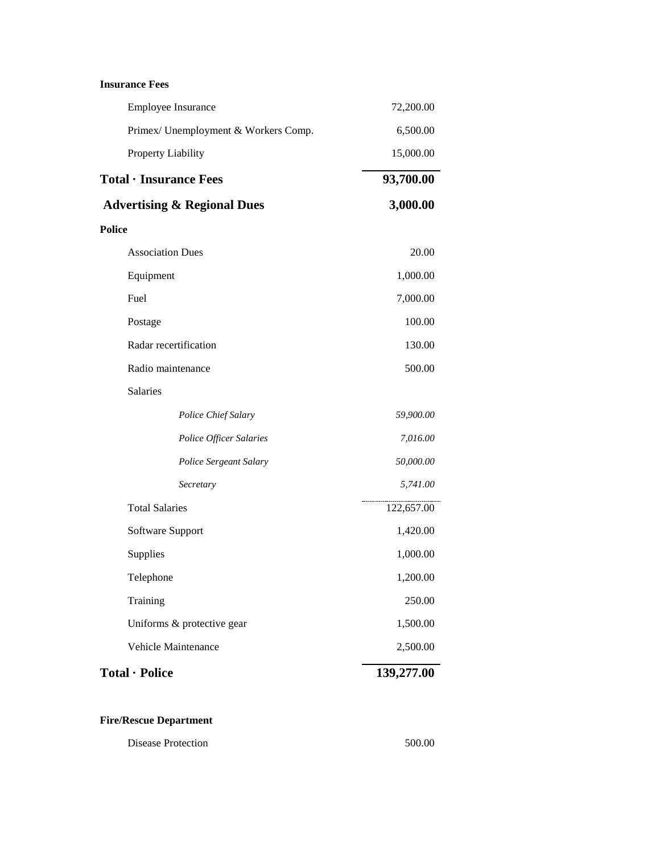### **Insurance Fees**

| Employee Insurance                     | 72,200.00  |
|----------------------------------------|------------|
| Primex/ Unemployment & Workers Comp.   | 6,500.00   |
| Property Liability                     | 15,000.00  |
| Total · Insurance Fees                 | 93,700.00  |
| <b>Advertising &amp; Regional Dues</b> | 3,000.00   |
| <b>Police</b>                          |            |
| <b>Association Dues</b>                | 20.00      |
| Equipment                              | 1,000.00   |
| Fuel                                   | 7,000.00   |
| Postage                                | 100.00     |
| Radar recertification                  | 130.00     |
| Radio maintenance                      | 500.00     |
| Salaries                               |            |
| Police Chief Salary                    | 59,900.00  |
| Police Officer Salaries                | 7,016.00   |
| Police Sergeant Salary                 | 50,000.00  |
| Secretary                              | 5,741.00   |
| <b>Total Salaries</b>                  | 122,657.00 |
| Software Support                       | 1,420.00   |
| Supplies                               | 1,000.00   |
| Telephone                              | 1,200.00   |
| Training                               | 250.00     |
| Uniforms & protective gear             | 1,500.00   |
| Vehicle Maintenance                    | 2,500.00   |
| Total · Police                         | 139,277.00 |
|                                        |            |

# **Fire/Rescue Department**

| Disease Protection | 500.00 |
|--------------------|--------|
|--------------------|--------|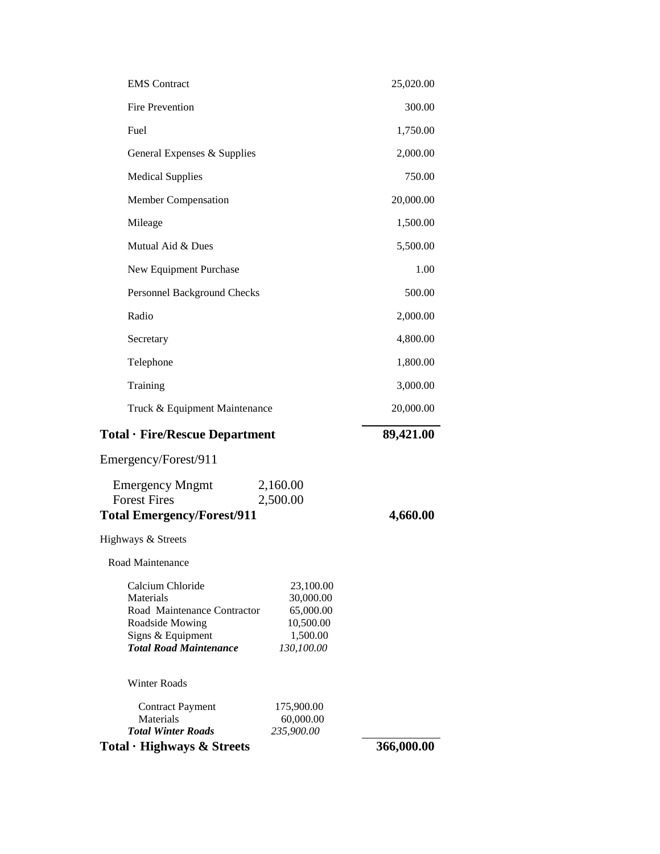| <b>EMS</b> Contract                                                                                                                                                                                                 | 25,020.00 |
|---------------------------------------------------------------------------------------------------------------------------------------------------------------------------------------------------------------------|-----------|
| <b>Fire Prevention</b>                                                                                                                                                                                              | 300.00    |
| Fuel                                                                                                                                                                                                                | 1,750.00  |
| General Expenses & Supplies                                                                                                                                                                                         | 2,000.00  |
| <b>Medical Supplies</b>                                                                                                                                                                                             | 750.00    |
| Member Compensation                                                                                                                                                                                                 | 20,000.00 |
| Mileage                                                                                                                                                                                                             | 1,500.00  |
| Mutual Aid & Dues                                                                                                                                                                                                   | 5,500.00  |
| New Equipment Purchase                                                                                                                                                                                              | 1.00      |
| Personnel Background Checks                                                                                                                                                                                         | 500.00    |
| Radio                                                                                                                                                                                                               | 2,000.00  |
| Secretary                                                                                                                                                                                                           | 4,800.00  |
| Telephone                                                                                                                                                                                                           | 1,800.00  |
| Training                                                                                                                                                                                                            | 3,000.00  |
| Truck & Equipment Maintenance                                                                                                                                                                                       | 20,000.00 |
|                                                                                                                                                                                                                     |           |
| Total · Fire/Rescue Department                                                                                                                                                                                      | 89,421.00 |
| Emergency/Forest/911                                                                                                                                                                                                |           |
| <b>Emergency Mngmt</b><br>2,160.00<br><b>Forest Fires</b><br>2,500.00<br><b>Total Emergency/Forest/911</b>                                                                                                          | 4,660.00  |
| Highways & Streets                                                                                                                                                                                                  |           |
| Road Maintenance                                                                                                                                                                                                    |           |
| Calcium Chloride<br>23,100.00<br>Materials<br>30,000.00<br>Road Maintenance Contractor<br>65,000.00<br>Roadside Mowing<br>10,500.00<br>Signs & Equipment<br>1,500.00<br><b>Total Road Maintenance</b><br>130,100.00 |           |
| <b>Winter Roads</b>                                                                                                                                                                                                 |           |
| <b>Contract Payment</b><br>175,900.00<br>Materials<br>60,000.00<br><b>Total Winter Roads</b><br>235,900.00                                                                                                          |           |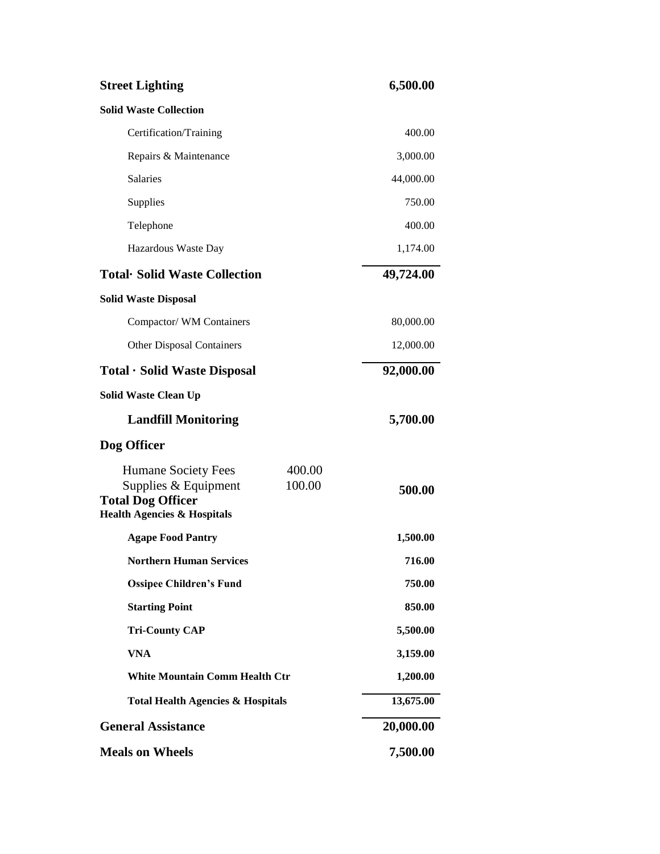| <b>Street Lighting</b>                                                                                                                | 6,500.00  |
|---------------------------------------------------------------------------------------------------------------------------------------|-----------|
| <b>Solid Waste Collection</b>                                                                                                         |           |
| Certification/Training                                                                                                                | 400.00    |
| Repairs & Maintenance                                                                                                                 | 3,000.00  |
| <b>Salaries</b>                                                                                                                       | 44,000.00 |
| Supplies                                                                                                                              | 750.00    |
| Telephone                                                                                                                             | 400.00    |
| Hazardous Waste Day                                                                                                                   | 1,174.00  |
| <b>Total</b> Solid Waste Collection                                                                                                   | 49,724.00 |
| <b>Solid Waste Disposal</b>                                                                                                           |           |
| Compactor/WM Containers                                                                                                               | 80,000.00 |
| <b>Other Disposal Containers</b>                                                                                                      | 12,000.00 |
| Total · Solid Waste Disposal                                                                                                          | 92,000.00 |
| <b>Solid Waste Clean Up</b>                                                                                                           |           |
| <b>Landfill Monitoring</b>                                                                                                            | 5,700.00  |
| Dog Officer                                                                                                                           |           |
| Humane Society Fees<br>400.00<br>100.00<br>Supplies & Equipment<br><b>Total Dog Officer</b><br><b>Health Agencies &amp; Hospitals</b> | 500.00    |
| <b>Agape Food Pantry</b>                                                                                                              | 1,500.00  |
| <b>Northern Human Services</b>                                                                                                        | 716.00    |
| <b>Ossipee Children's Fund</b>                                                                                                        | 750.00    |
| <b>Starting Point</b>                                                                                                                 | 850.00    |
| <b>Tri-County CAP</b>                                                                                                                 | 5,500.00  |
| <b>VNA</b>                                                                                                                            | 3,159.00  |
| <b>White Mountain Comm Health Ctr</b>                                                                                                 | 1,200.00  |
| <b>Total Health Agencies &amp; Hospitals</b>                                                                                          | 13,675.00 |
| <b>General Assistance</b>                                                                                                             | 20,000.00 |
| <b>Meals on Wheels</b>                                                                                                                | 7,500.00  |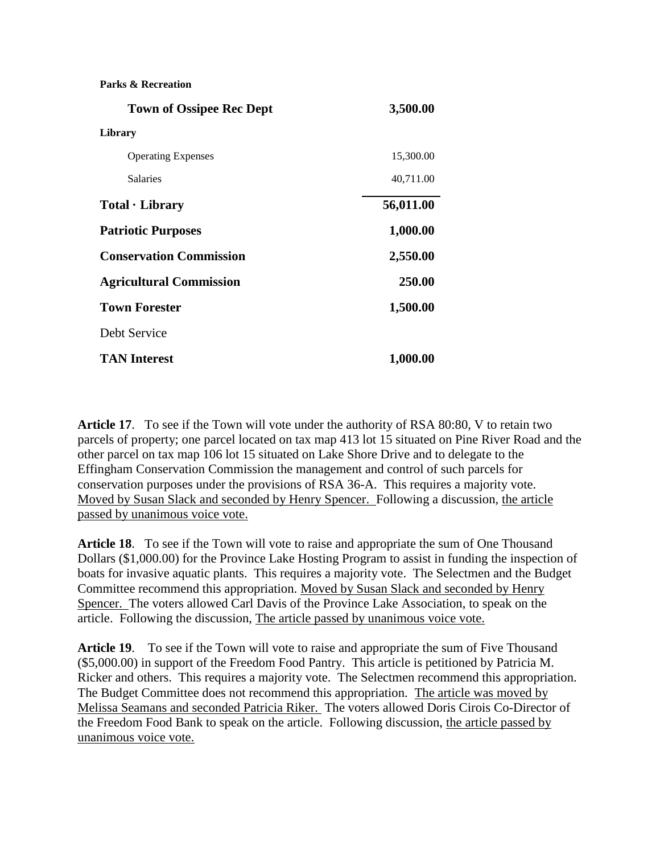**Parks & Recreation**

| <b>Town of Ossipee Rec Dept</b> | 3,500.00  |
|---------------------------------|-----------|
| Library                         |           |
| <b>Operating Expenses</b>       | 15,300.00 |
| <b>Salaries</b>                 | 40,711.00 |
| Total · Library                 | 56,011.00 |
| <b>Patriotic Purposes</b>       | 1,000.00  |
| <b>Conservation Commission</b>  | 2,550.00  |
| <b>Agricultural Commission</b>  | 250.00    |
| <b>Town Forester</b>            | 1,500.00  |
| Debt Service                    |           |
| <b>TAN Interest</b>             | 1,000.00  |

**Article 17**. To see if the Town will vote under the authority of RSA 80:80, V to retain two parcels of property; one parcel located on tax map 413 lot 15 situated on Pine River Road and the other parcel on tax map 106 lot 15 situated on Lake Shore Drive and to delegate to the Effingham Conservation Commission the management and control of such parcels for conservation purposes under the provisions of RSA 36-A. This requires a majority vote. Moved by Susan Slack and seconded by Henry Spencer. Following a discussion, the article passed by unanimous voice vote.

**Article 18**. To see if the Town will vote to raise and appropriate the sum of One Thousand Dollars (\$1,000.00) for the Province Lake Hosting Program to assist in funding the inspection of boats for invasive aquatic plants. This requires a majority vote. The Selectmen and the Budget Committee recommend this appropriation. Moved by Susan Slack and seconded by Henry Spencer. The voters allowed Carl Davis of the Province Lake Association, to speak on the article. Following the discussion, The article passed by unanimous voice vote.

**Article 19**. To see if the Town will vote to raise and appropriate the sum of Five Thousand (\$5,000.00) in support of the Freedom Food Pantry. This article is petitioned by Patricia M. Ricker and others. This requires a majority vote. The Selectmen recommend this appropriation. The Budget Committee does not recommend this appropriation. The article was moved by Melissa Seamans and seconded Patricia Riker. The voters allowed Doris Cirois Co-Director of the Freedom Food Bank to speak on the article. Following discussion, the article passed by unanimous voice vote.  $\overline{\phantom{a}}$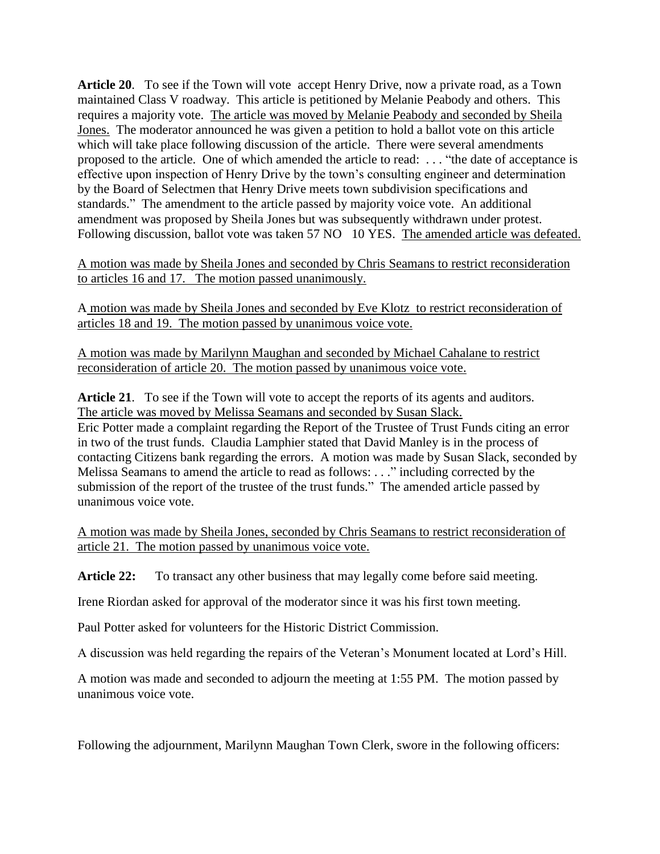**Article 20**. To see if the Town will vote accept Henry Drive, now a private road, as a Town maintained Class V roadway. This article is petitioned by Melanie Peabody and others. This requires a majority vote. The article was moved by Melanie Peabody and seconded by Sheila Jones. The moderator announced he was given a petition to hold a ballot vote on this article which will take place following discussion of the article. There were several amendments proposed to the article. One of which amended the article to read: . . . "the date of acceptance is effective upon inspection of Henry Drive by the town's consulting engineer and determination by the Board of Selectmen that Henry Drive meets town subdivision specifications and standards." The amendment to the article passed by majority voice vote. An additional amendment was proposed by Sheila Jones but was subsequently withdrawn under protest. Following discussion, ballot vote was taken 57 NO 10 YES. The amended article was defeated.

A motion was made by Sheila Jones and seconded by Chris Seamans to restrict reconsideration to articles 16 and 17. The motion passed unanimously.

A motion was made by Sheila Jones and seconded by Eve Klotz to restrict reconsideration of articles 18 and 19. The motion passed by unanimous voice vote.

A motion was made by Marilynn Maughan and seconded by Michael Cahalane to restrict reconsideration of article 20. The motion passed by unanimous voice vote.

**Article 21**. To see if the Town will vote to accept the reports of its agents and auditors. The article was moved by Melissa Seamans and seconded by Susan Slack. Eric Potter made a complaint regarding the Report of the Trustee of Trust Funds citing an error in two of the trust funds. Claudia Lamphier stated that David Manley is in the process of contacting Citizens bank regarding the errors. A motion was made by Susan Slack, seconded by Melissa Seamans to amend the article to read as follows: . . ." including corrected by the submission of the report of the trustee of the trust funds." The amended article passed by unanimous voice vote.

A motion was made by Sheila Jones, seconded by Chris Seamans to restrict reconsideration of article 21. The motion passed by unanimous voice vote.

Article 22: To transact any other business that may legally come before said meeting.

Irene Riordan asked for approval of the moderator since it was his first town meeting.

Paul Potter asked for volunteers for the Historic District Commission.

A discussion was held regarding the repairs of the Veteran's Monument located at Lord's Hill.

A motion was made and seconded to adjourn the meeting at 1:55 PM. The motion passed by unanimous voice vote.

Following the adjournment, Marilynn Maughan Town Clerk, swore in the following officers: